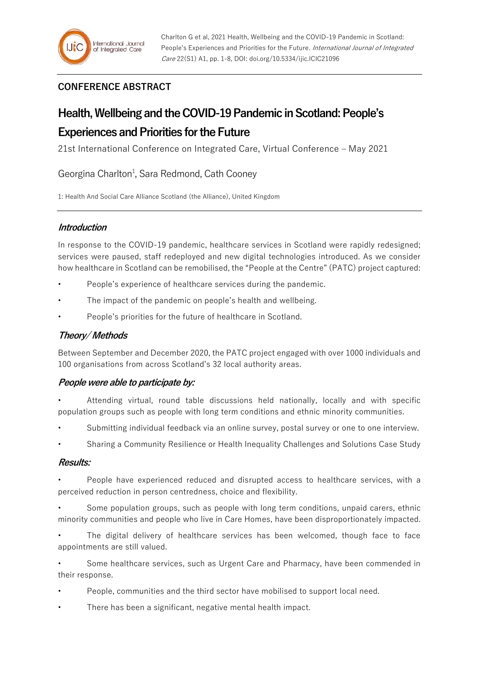# **CONFERENCE ABSTRACT**

# **Health, Wellbeing and the COVID-19 Pandemic in Scotland: People's**

# **Experiences and Priorities for the Future**

21st International Conference on Integrated Care, Virtual Conference – May 2021

Georgina Charlton<sup>1</sup>, Sara Redmond, Cath Cooney

1: Health And Social Care Alliance Scotland (the Alliance), United Kingdom

## **Introduction**

In response to the COVID-19 pandemic, healthcare services in Scotland were rapidly redesigned; services were paused, staff redeployed and new digital technologies introduced. As we consider how healthcare in Scotland can be remobilised, the "People at the Centre" (PATC) project captured:

- People's experience of healthcare services during the pandemic.
- The impact of the pandemic on people's health and wellbeing.
- People's priorities for the future of healthcare in Scotland.

### **Theory/ Methods**

Between September and December 2020, the PATC project engaged with over 1000 individuals and 100 organisations from across Scotland's 32 local authority areas.

#### **People were able to participate by:**

- Attending virtual, round table discussions held nationally, locally and with specific population groups such as people with long term conditions and ethnic minority communities.
- Submitting individual feedback via an online survey, postal survey or one to one interview.
- Sharing a Community Resilience or Health Inequality Challenges and Solutions Case Study

#### **Results:**

• People have experienced reduced and disrupted access to healthcare services, with a perceived reduction in person centredness, choice and flexibility.

• Some population groups, such as people with long term conditions, unpaid carers, ethnic minority communities and people who live in Care Homes, have been disproportionately impacted.

The digital delivery of healthcare services has been welcomed, though face to face appointments are still valued.

• Some healthcare services, such as Urgent Care and Pharmacy, have been commended in their response.

- People, communities and the third sector have mobilised to support local need.
- There has been a significant, negative mental health impact.